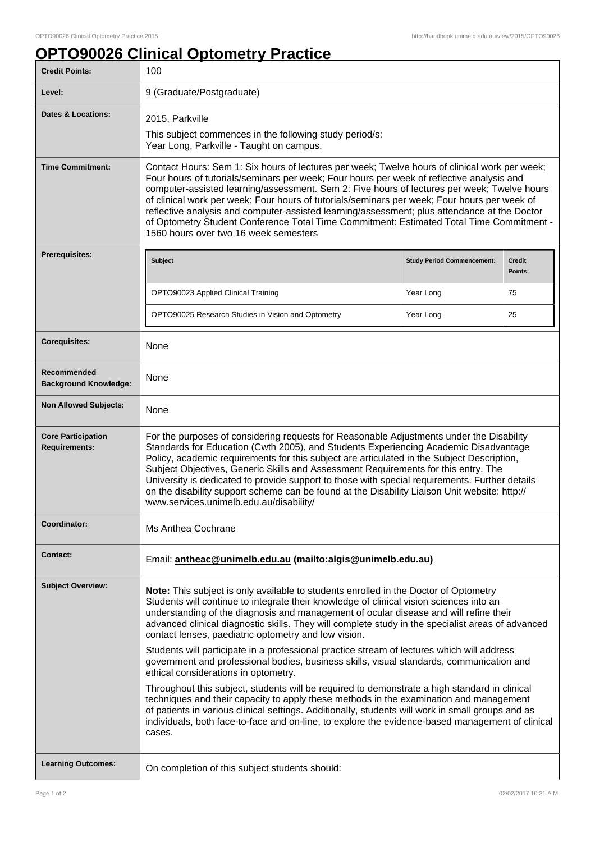## **OPTO90026 Clinical Optometry Practice**

| <b>Credit Points:</b>                             | 100                                                                                                                                                                                                                                                                                                                                                                                                                                                                                                                                                                                                                            |                                   |                          |
|---------------------------------------------------|--------------------------------------------------------------------------------------------------------------------------------------------------------------------------------------------------------------------------------------------------------------------------------------------------------------------------------------------------------------------------------------------------------------------------------------------------------------------------------------------------------------------------------------------------------------------------------------------------------------------------------|-----------------------------------|--------------------------|
| Level:                                            | 9 (Graduate/Postgraduate)                                                                                                                                                                                                                                                                                                                                                                                                                                                                                                                                                                                                      |                                   |                          |
| <b>Dates &amp; Locations:</b>                     | 2015, Parkville                                                                                                                                                                                                                                                                                                                                                                                                                                                                                                                                                                                                                |                                   |                          |
|                                                   | This subject commences in the following study period/s:<br>Year Long, Parkville - Taught on campus.                                                                                                                                                                                                                                                                                                                                                                                                                                                                                                                            |                                   |                          |
| <b>Time Commitment:</b>                           | Contact Hours: Sem 1: Six hours of lectures per week; Twelve hours of clinical work per week;<br>Four hours of tutorials/seminars per week; Four hours per week of reflective analysis and<br>computer-assisted learning/assessment. Sem 2: Five hours of lectures per week; Twelve hours<br>of clinical work per week; Four hours of tutorials/seminars per week; Four hours per week of<br>reflective analysis and computer-assisted learning/assessment; plus attendance at the Doctor<br>of Optometry Student Conference Total Time Commitment: Estimated Total Time Commitment -<br>1560 hours over two 16 week semesters |                                   |                          |
| Prerequisites:                                    | Subject                                                                                                                                                                                                                                                                                                                                                                                                                                                                                                                                                                                                                        | <b>Study Period Commencement:</b> | <b>Credit</b><br>Points: |
|                                                   | OPTO90023 Applied Clinical Training                                                                                                                                                                                                                                                                                                                                                                                                                                                                                                                                                                                            | Year Long                         | 75                       |
|                                                   | OPTO90025 Research Studies in Vision and Optometry                                                                                                                                                                                                                                                                                                                                                                                                                                                                                                                                                                             | Year Long                         | 25                       |
| <b>Corequisites:</b>                              | None                                                                                                                                                                                                                                                                                                                                                                                                                                                                                                                                                                                                                           |                                   |                          |
| Recommended<br><b>Background Knowledge:</b>       | None                                                                                                                                                                                                                                                                                                                                                                                                                                                                                                                                                                                                                           |                                   |                          |
| <b>Non Allowed Subjects:</b>                      | None                                                                                                                                                                                                                                                                                                                                                                                                                                                                                                                                                                                                                           |                                   |                          |
| <b>Core Participation</b><br><b>Requirements:</b> | For the purposes of considering requests for Reasonable Adjustments under the Disability<br>Standards for Education (Cwth 2005), and Students Experiencing Academic Disadvantage<br>Policy, academic requirements for this subject are articulated in the Subject Description,<br>Subject Objectives, Generic Skills and Assessment Requirements for this entry. The<br>University is dedicated to provide support to those with special requirements. Further details<br>on the disability support scheme can be found at the Disability Liaison Unit website: http://<br>www.services.unimelb.edu.au/disability/             |                                   |                          |
| Coordinator:                                      | Ms Anthea Cochrane                                                                                                                                                                                                                                                                                                                                                                                                                                                                                                                                                                                                             |                                   |                          |
| <b>Contact:</b>                                   | Email: antheac@unimelb.edu.au (mailto:algis@unimelb.edu.au)                                                                                                                                                                                                                                                                                                                                                                                                                                                                                                                                                                    |                                   |                          |
| <b>Subject Overview:</b>                          | Note: This subject is only available to students enrolled in the Doctor of Optometry<br>Students will continue to integrate their knowledge of clinical vision sciences into an<br>understanding of the diagnosis and management of ocular disease and will refine their<br>advanced clinical diagnostic skills. They will complete study in the specialist areas of advanced<br>contact lenses, paediatric optometry and low vision.                                                                                                                                                                                          |                                   |                          |
|                                                   | Students will participate in a professional practice stream of lectures which will address<br>government and professional bodies, business skills, visual standards, communication and<br>ethical considerations in optometry.                                                                                                                                                                                                                                                                                                                                                                                                 |                                   |                          |
|                                                   | Throughout this subject, students will be required to demonstrate a high standard in clinical<br>techniques and their capacity to apply these methods in the examination and management<br>of patients in various clinical settings. Additionally, students will work in small groups and as<br>individuals, both face-to-face and on-line, to explore the evidence-based management of clinical<br>cases.                                                                                                                                                                                                                     |                                   |                          |
| <b>Learning Outcomes:</b>                         | On completion of this subject students should:                                                                                                                                                                                                                                                                                                                                                                                                                                                                                                                                                                                 |                                   |                          |